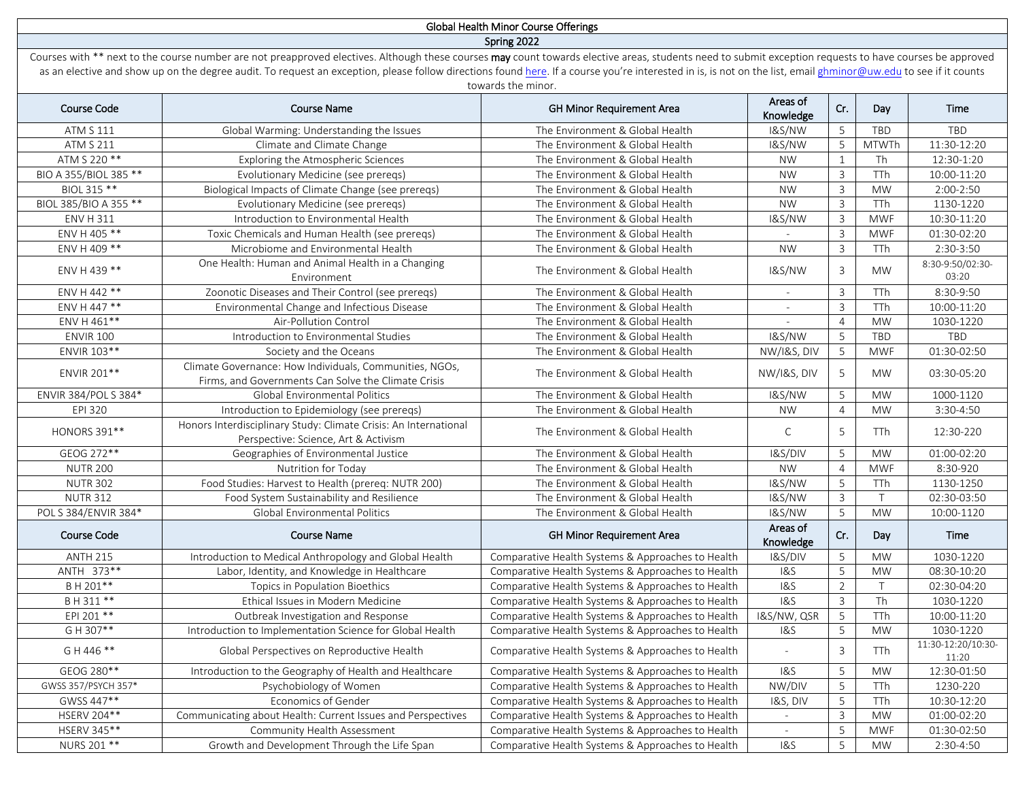## Global Health Minor Course Offerings Spring 2022

Courses with \*\* next to the course number are not preapproved electives. Although these courses may count towards elective areas, students need to submit exception requests to have courses be approved as an elective and show up on the degree audit. To request an exception, please follow directions foun[d here.](http://globalhealth.washington.edu/education-training/undergraduate-minor/current-courses#exceptionrequests) If a course you're interested in is, is not on the list, email [ghminor@uw.edu](mailto:ghminor@uw.edu) to see if it counts towards the minor.

| Course Code           | Course Name                                                                                                    | <b>GH Minor Requirement Area</b>                  | Areas of<br>Knowledge    | Cr.            | Day                    | Time                        |
|-----------------------|----------------------------------------------------------------------------------------------------------------|---------------------------------------------------|--------------------------|----------------|------------------------|-----------------------------|
| <b>ATM S 111</b>      | Global Warming: Understanding the Issues                                                                       | The Environment & Global Health                   | I&S/NW                   | 5              | TBD                    | TBD                         |
| <b>ATM S 211</b>      | Climate and Climate Change                                                                                     | The Environment & Global Health                   | <b>1&amp;S/NW</b>        | 5              | <b>MTWTh</b>           | 11:30-12:20                 |
| ATM S 220 **          | Exploring the Atmospheric Sciences                                                                             | The Environment & Global Health                   | <b>NW</b>                | $\mathbf{1}$   | Th                     | 12:30-1:20                  |
| BIO A 355/BIOL 385 ** | Evolutionary Medicine (see prereqs)                                                                            | The Environment & Global Health                   | <b>NW</b>                | $\overline{3}$ | TTh                    | 10:00-11:20                 |
| BIOL 315 **           | Biological Impacts of Climate Change (see prereqs)                                                             | The Environment & Global Health                   | <b>NW</b>                | $\mathsf 3$    | <b>MW</b>              | $2:00-2:50$                 |
| BIOL 385/BIO A 355 ** | Evolutionary Medicine (see prereqs)                                                                            | The Environment & Global Health                   | <b>NW</b>                | 3              | <b>TTh</b>             | 1130-1220                   |
| <b>ENV H 311</b>      | Introduction to Environmental Health                                                                           | The Environment & Global Health                   | <b>1&amp;S/NW</b>        | $\overline{3}$ | <b>MWF</b>             | 10:30-11:20                 |
| ENV H 405 **          | Toxic Chemicals and Human Health (see preregs)                                                                 | The Environment & Global Health                   |                          | $\mathbf{3}$   | <b>MWF</b>             | 01:30-02:20                 |
| ENV H 409 **          | Microbiome and Environmental Health                                                                            | The Environment & Global Health                   | <b>NW</b>                | $\overline{3}$ | <b>TTh</b>             | 2:30-3:50                   |
| ENV H 439 **          | One Health: Human and Animal Health in a Changing<br>Environment                                               | The Environment & Global Health                   | <b>1&amp;S/NW</b>        | 3              | <b>MW</b>              | 8:30-9:50/02:30-<br>03:20   |
| ENV H 442 **          | Zoonotic Diseases and Their Control (see preregs)                                                              | The Environment & Global Health                   | $\overline{\phantom{a}}$ | $\mathbf{3}$   | TTh                    | 8:30-9:50                   |
| ENV H 447 **          | Environmental Change and Infectious Disease                                                                    | The Environment & Global Health                   |                          | $\mathbf{3}$   | TTh                    | 10:00-11:20                 |
| ENV H 461**           | Air-Pollution Control                                                                                          | The Environment & Global Health                   |                          | $\overline{4}$ | <b>MW</b>              | 1030-1220                   |
| <b>ENVIR 100</b>      | Introduction to Environmental Studies                                                                          | The Environment & Global Health                   | <b>1&amp;S/NW</b>        | 5              | TBD                    | TBD                         |
| ENVIR 103**           | Society and the Oceans                                                                                         | The Environment & Global Health                   | NW/I&S, DIV              | 5              | <b>MWF</b>             | 01:30-02:50                 |
| ENVIR 201**           | Climate Governance: How Individuals, Communities, NGOs,<br>Firms, and Governments Can Solve the Climate Crisis | The Environment & Global Health                   | NW/I&S, DIV              | 5              | <b>MW</b>              | 03:30-05:20                 |
| ENVIR 384/POL S 384*  | Global Environmental Politics                                                                                  | The Environment & Global Health                   | <b>1&amp;S/NW</b>        | 5              | <b>MW</b>              | 1000-1120                   |
| EPI 320               | Introduction to Epidemiology (see prereqs)                                                                     | The Environment & Global Health                   | <b>NW</b>                | $\overline{4}$ | <b>MW</b>              | 3:30-4:50                   |
| <b>HONORS 391**</b>   | Honors Interdisciplinary Study: Climate Crisis: An International<br>Perspective: Science, Art & Activism       | The Environment & Global Health                   | $\mathsf C$              | 5              | <b>TTh</b>             | 12:30-220                   |
| GEOG 272**            | Geographies of Environmental Justice                                                                           | The Environment & Global Health                   | I&S/DIV                  | 5              | <b>MW</b>              | 01:00-02:20                 |
| <b>NUTR 200</b>       | Nutrition for Today                                                                                            | The Environment & Global Health                   | <b>NW</b>                | $\overline{4}$ | <b>MWF</b>             | 8:30-920                    |
| <b>NUTR 302</b>       | Food Studies: Harvest to Health (prereq: NUTR 200)                                                             | The Environment & Global Health                   | <b>1&amp;S/NW</b>        | 5              | TTh                    | 1130-1250                   |
| <b>NUTR 312</b>       | Food System Sustainability and Resilience                                                                      | The Environment & Global Health                   | <b>1&amp;S/NW</b>        | $\overline{3}$ | $\top$                 | 02:30-03:50                 |
| POL S 384/ENVIR 384*  | Global Environmental Politics                                                                                  | The Environment & Global Health                   | <b>1&amp;S/NW</b>        | 5              | <b>MW</b>              | 10:00-1120                  |
| <b>Course Code</b>    | <b>Course Name</b>                                                                                             | <b>GH Minor Requirement Area</b>                  | Areas of<br>Knowledge    | Cr.            | Day                    | Time                        |
| <b>ANTH 215</b>       | Introduction to Medical Anthropology and Global Health                                                         | Comparative Health Systems & Approaches to Health | I&S/DIV                  | 5              | <b>MW</b>              | 1030-1220                   |
| ANTH 373**            | Labor, Identity, and Knowledge in Healthcare                                                                   | Comparative Health Systems & Approaches to Health | 18S                      | 5              | <b>MW</b>              | 08:30-10:20                 |
| BH 201**              | Topics in Population Bioethics                                                                                 | Comparative Health Systems & Approaches to Health | <b>1&amp;S</b>           | 2              | $\top$                 | 02:30-04:20                 |
| B H 311 **            | Ethical Issues in Modern Medicine                                                                              | Comparative Health Systems & Approaches to Health | 185                      | $\overline{3}$ | $\overline{\text{Th}}$ | 1030-1220                   |
| EPI 201 **            | Outbreak Investigation and Response                                                                            | Comparative Health Systems & Approaches to Health | I&S/NW, QSR              | 5              | TTh                    | 10:00-11:20                 |
| G H 307**             | Introduction to Implementation Science for Global Health                                                       | Comparative Health Systems & Approaches to Health | 18S                      | 5              | <b>MW</b>              | 1030-1220                   |
| G H 446 **            | Global Perspectives on Reproductive Health                                                                     | Comparative Health Systems & Approaches to Health |                          | $\overline{3}$ | <b>TTh</b>             | 11:30-12:20/10:30-<br>11:20 |
| GEOG 280**            | Introduction to the Geography of Health and Healthcare                                                         | Comparative Health Systems & Approaches to Health | <b>1&amp;S</b>           | 5              | <b>MW</b>              | 12:30-01:50                 |
| GWSS 357/PSYCH 357*   | Psychobiology of Women                                                                                         | Comparative Health Systems & Approaches to Health | NW/DIV                   | 5              | TTh                    | 1230-220                    |
| GWSS 447**            | Economics of Gender                                                                                            | Comparative Health Systems & Approaches to Health | I&S, DIV                 | 5              | TTh                    | 10:30-12:20                 |
| HSERV 204**           | Communicating about Health: Current Issues and Perspectives                                                    | Comparative Health Systems & Approaches to Health | $\sim$                   | $\overline{3}$ | <b>MW</b>              | 01:00-02:20                 |
| HSERV 345**           | Community Health Assessment                                                                                    | Comparative Health Systems & Approaches to Health | $\sim$                   | 5              | <b>MWF</b>             | 01:30-02:50                 |
| NURS 201 **           | Growth and Development Through the Life Span                                                                   | Comparative Health Systems & Approaches to Health | <b>1&amp;S</b>           | 5              | <b>MW</b>              | 2:30-4:50                   |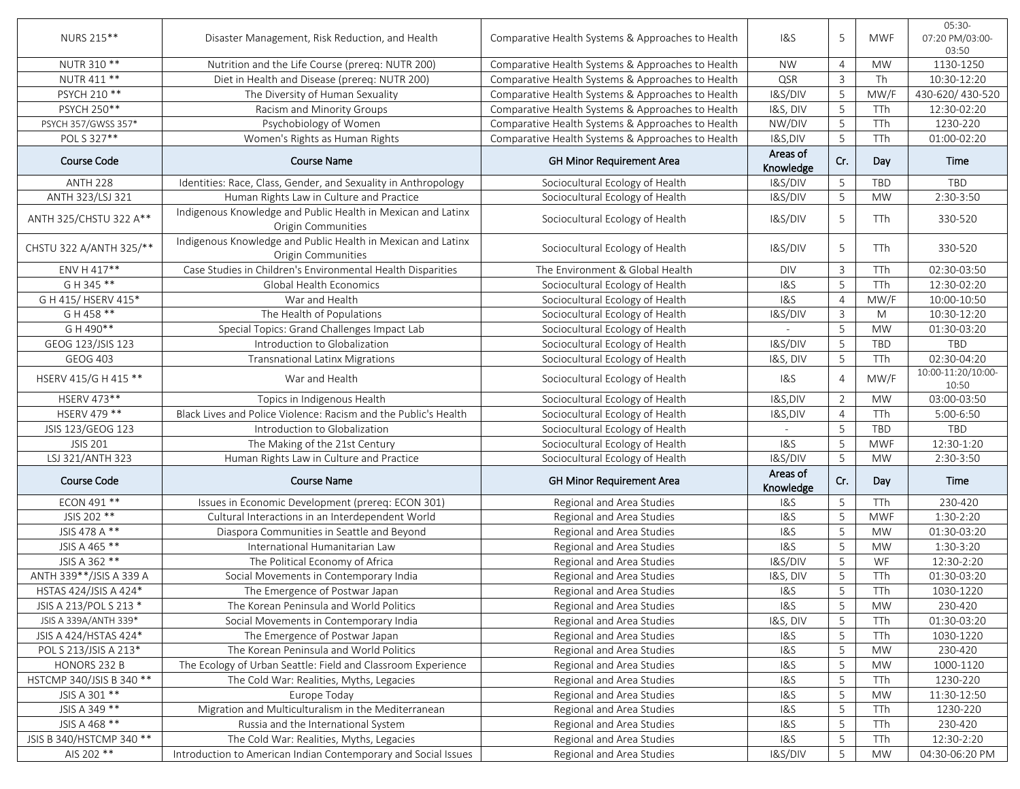| NURS 215**               | Disaster Management, Risk Reduction, and Health                                    | Comparative Health Systems & Approaches to Health | 1&S                   | 5              | <b>MWF</b> | 05:30-<br>07:20 PM/03:00-<br>03:50 |
|--------------------------|------------------------------------------------------------------------------------|---------------------------------------------------|-----------------------|----------------|------------|------------------------------------|
| NUTR 310 **              | Nutrition and the Life Course (prereq: NUTR 200)                                   | Comparative Health Systems & Approaches to Health | <b>NW</b>             | $\overline{4}$ | <b>MW</b>  | 1130-1250                          |
| NUTR 411 **              | Diet in Health and Disease (prereq: NUTR 200)                                      | Comparative Health Systems & Approaches to Health | QSR                   | $\overline{3}$ | Th         | 10:30-12:20                        |
| PSYCH 210 **             | The Diversity of Human Sexuality                                                   | Comparative Health Systems & Approaches to Health | I&S/DIV               | 5              | MW/F       | 430-620/430-520                    |
| PSYCH 250**              | Racism and Minority Groups                                                         | Comparative Health Systems & Approaches to Health | I&S, DIV              | 5              | TTh        | 12:30-02:20                        |
| PSYCH 357/GWSS 357*      | Psychobiology of Women                                                             | Comparative Health Systems & Approaches to Health | NW/DIV                | 5              | TTh        | 1230-220                           |
| POL S 327**              | Women's Rights as Human Rights                                                     | Comparative Health Systems & Approaches to Health | I&S,DIV               | 5              | TTh        | 01:00-02:20                        |
| <b>Course Code</b>       | <b>Course Name</b>                                                                 | <b>GH Minor Requirement Area</b>                  | Areas of<br>Knowledge | Cr.            | Day        | Time                               |
| <b>ANTH 228</b>          | Identities: Race, Class, Gender, and Sexuality in Anthropology                     | Sociocultural Ecology of Health                   | I&S/DIV               | 5              | TBD        | TBD                                |
| ANTH 323/LSJ 321         | Human Rights Law in Culture and Practice                                           | Sociocultural Ecology of Health                   | I&S/DIV               | 5              | <b>MW</b>  | 2:30-3:50                          |
| ANTH 325/CHSTU 322 A**   | Indigenous Knowledge and Public Health in Mexican and Latinx<br>Origin Communities | Sociocultural Ecology of Health                   | I&S/DIV               | 5              | TTh        | 330-520                            |
| CHSTU 322 A/ANTH 325/**  | Indigenous Knowledge and Public Health in Mexican and Latinx<br>Origin Communities | Sociocultural Ecology of Health                   | <b>I&amp;S/DIV</b>    | 5              | <b>TTh</b> | 330-520                            |
| ENV H 417**              | Case Studies in Children's Environmental Health Disparities                        | The Environment & Global Health                   | <b>DIV</b>            | $\overline{3}$ | TTh        | 02:30-03:50                        |
| G H 345 **               | Global Health Economics                                                            | Sociocultural Ecology of Health                   | 18S                   | 5              | TTh        | 12:30-02:20                        |
| G H 415/HSERV 415*       | War and Health                                                                     | Sociocultural Ecology of Health                   | <b>1&amp;S</b>        | $\overline{4}$ | MW/F       | 10:00-10:50                        |
| $G H 458$ **             | The Health of Populations                                                          | Sociocultural Ecology of Health                   | I&S/DIV               | $\mathbf{3}$   | M          | 10:30-12:20                        |
| G H 490**                | Special Topics: Grand Challenges Impact Lab                                        | Sociocultural Ecology of Health                   |                       | 5              | <b>MW</b>  | 01:30-03:20                        |
| GEOG 123/JSIS 123        | Introduction to Globalization                                                      | Sociocultural Ecology of Health                   | I&S/DIV               | 5              | TBD        | TBD                                |
| <b>GEOG 403</b>          | <b>Transnational Latinx Migrations</b>                                             | Sociocultural Ecology of Health                   | I&S, DIV              | 5              | TTh        | 02:30-04:20                        |
| HSERV 415/G H 415 **     | War and Health                                                                     | Sociocultural Ecology of Health                   | <b>1&amp;S</b>        | $\overline{4}$ | MW/F       | 10:00-11:20/10:00-<br>10:50        |
| HSERV 473**              | Topics in Indigenous Health                                                        | Sociocultural Ecology of Health                   | I&S,DIV               | $\overline{2}$ | <b>MW</b>  | 03:00-03:50                        |
| HSERV 479 **             | Black Lives and Police Violence: Racism and the Public's Health                    | Sociocultural Ecology of Health                   | I&S,DIV               | $\overline{4}$ | TTh        | 5:00-6:50                          |
| JSIS 123/GEOG 123        | Introduction to Globalization                                                      | Sociocultural Ecology of Health                   |                       | 5              | TBD        | TBD                                |
| <b>JSIS 201</b>          | The Making of the 21st Century                                                     | Sociocultural Ecology of Health                   | <b>1&amp;S</b>        | 5              | <b>MWF</b> | 12:30-1:20                         |
| LSJ 321/ANTH 323         | Human Rights Law in Culture and Practice                                           | Sociocultural Ecology of Health                   | I&S/DIV               | 5              | <b>MW</b>  | 2:30-3:50                          |
| <b>Course Code</b>       | <b>Course Name</b>                                                                 | GH Minor Requirement Area                         | Areas of<br>Knowledge | Cr.            | Day        | <b>Time</b>                        |
| ECON 491 **              | Issues in Economic Development (prereq: ECON 301)                                  | Regional and Area Studies                         | <b>1&amp;S</b>        | 5              | TTh        | 230-420                            |
| JSIS 202 **              | Cultural Interactions in an Interdependent World                                   | Regional and Area Studies                         | <b>1&amp;S</b>        | 5              | <b>MWF</b> | 1:30-2:20                          |
| JSIS 478 A **            | Diaspora Communities in Seattle and Beyond                                         | Regional and Area Studies                         | 18S                   | 5              | <b>MW</b>  | 01:30-03:20                        |
| JSIS A 465 **            | International Humanitarian Law                                                     | Regional and Area Studies                         | <b>1&amp;S</b>        | 5              | <b>MW</b>  | $1:30-3:20$                        |
| JSIS A 362 **            | The Political Economy of Africa                                                    | Regional and Area Studies                         | I&S/DIV               | 5              | WF         | 12:30-2:20                         |
| ANTH 339**/JSIS A 339 A  | Social Movements in Contemporary India                                             | Regional and Area Studies                         | I&S, DIV              | 5              | TTh        | 01:30-03:20                        |
| HSTAS 424/JSIS A 424*    | The Emergence of Postwar Japan                                                     | Regional and Area Studies                         | <b>1&amp;S</b>        | $\overline{5}$ | TTh        | 1030-1220                          |
| JSIS A 213/POL S 213 *   | The Korean Peninsula and World Politics                                            | Regional and Area Studies                         | 18S                   | 5              | MW         | 230-420                            |
| JSIS A 339A/ANTH 339*    | Social Movements in Contemporary India                                             | Regional and Area Studies                         | I&S, DIV              | 5              | TTh        | 01:30-03:20                        |
| JSIS A 424/HSTAS 424*    | The Emergence of Postwar Japan                                                     | Regional and Area Studies                         | 18S                   | 5              | TTh        | 1030-1220                          |
| POL S 213/JSIS A 213*    | The Korean Peninsula and World Politics                                            | Regional and Area Studies                         | 1&S                   | 5              | <b>MW</b>  | 230-420                            |
| HONORS 232 B             | The Ecology of Urban Seattle: Field and Classroom Experience                       | Regional and Area Studies                         | 1&S                   | 5              | <b>MW</b>  | 1000-1120                          |
| HSTCMP 340/JSIS B 340 ** | The Cold War: Realities, Myths, Legacies                                           | Regional and Area Studies                         | 1&S                   | 5              | TTh        | 1230-220                           |
| JSIS A 301 **            | Europe Today                                                                       | Regional and Area Studies                         | 1&S                   | 5              | <b>MW</b>  | 11:30-12:50                        |
| JSIS A 349 **            | Migration and Multiculturalism in the Mediterranean                                | Regional and Area Studies                         | 1&S                   | 5              | TTh        | 1230-220                           |
| JSIS A 468 **            | Russia and the International System                                                | Regional and Area Studies                         | 1&S                   | 5              | TTh        | 230-420                            |
| JSIS B 340/HSTCMP 340 ** | The Cold War: Realities, Myths, Legacies                                           | Regional and Area Studies                         | 18S                   | 5              | TTh        | 12:30-2:20                         |
| AIS 202 **               | Introduction to American Indian Contemporary and Social Issues                     | Regional and Area Studies                         | I&S/DIV               | 5              | <b>MW</b>  | 04:30-06:20 PM                     |